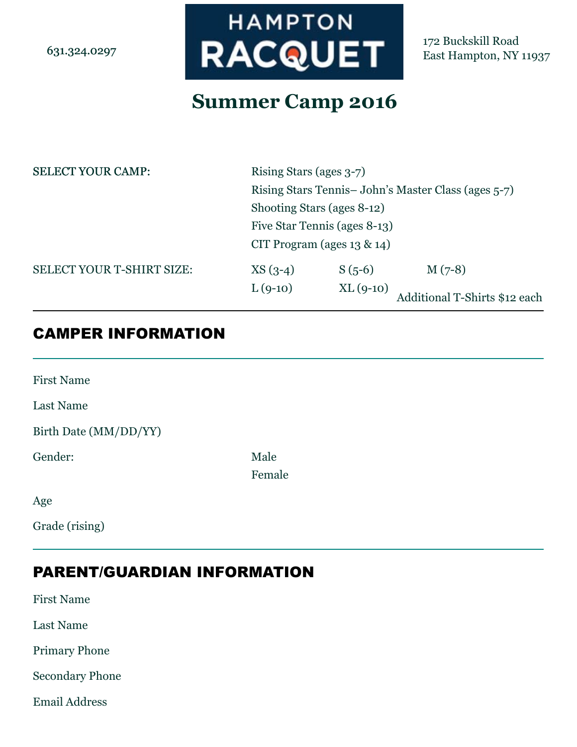6313240297

# **HAMPTON RACQUET**

172 Buckskill Road East Hampton, NY 11937

## **Summer Camp 2016**

| <b>SELECT YOUR CAMP:</b>  | Rising Stars (ages 3-7)             |                     |                                                    |
|---------------------------|-------------------------------------|---------------------|----------------------------------------------------|
|                           |                                     |                     | Rising Stars Tennis-John's Master Class (ages 5-7) |
|                           | Shooting Stars (ages 8-12)          |                     |                                                    |
|                           | $\Box$ Five Star Tennis (ages 8-13) |                     |                                                    |
|                           | $\Box$ CIT Program (ages 13 & 14)   |                     |                                                    |
| SELECT YOUR T-SHIRT SIZE: | $XS(3-4)$                           | $\Box$ S (5-6)      | $\Box$ M (7-8)                                     |
|                           | $\Box$ L(9-10)                      | $\prod$ XL $(9-10)$ | Additional T-Shirts \$12 each                      |
| <b>CAMPER INFORMATION</b> |                                     |                     |                                                    |

| <b>First Name</b>     |                                 |
|-----------------------|---------------------------------|
| <b>Last Name</b>      |                                 |
| Birth Date (MM/DD/YY) |                                 |
| Gender:               | $\Box$ Male<br>Female<br>$\sim$ |
| Age                   |                                 |
| Grade (rising)        |                                 |

## PARENT/GUARDIAN INFORMATION

First Name

Last Name

Primary Phone

Secondary Phone

Email Address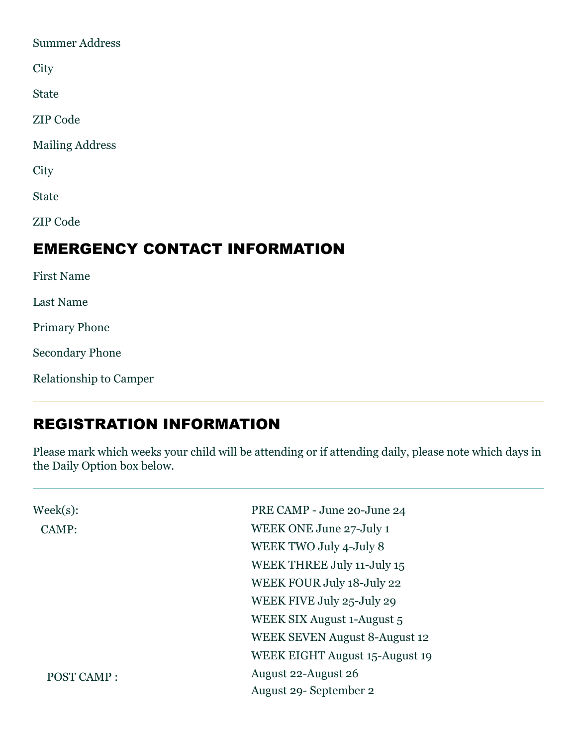| <b>Summer Address</b>  |                                      |
|------------------------|--------------------------------------|
| City                   |                                      |
| <b>State</b>           |                                      |
| <b>ZIP</b> Code        |                                      |
| <b>Mailing Address</b> |                                      |
| City                   |                                      |
| <b>State</b>           |                                      |
| <b>ZIP Code</b>        |                                      |
|                        | <b>EMERGENCY CONTACT INFORMATION</b> |
| <b>First Name</b>      |                                      |

Last Name Primary Phone Secondary Phone Relationship to Camper

## REGISTRATION INFORMATION

Please mark which weeks your child will be attending or if attending daily, please note which days in the Daily Option box below.

| $\text{Weak}(s)$ : | PRE CAMP - June 20-June 24           |
|--------------------|--------------------------------------|
| CAMP:              | WEEK ONE June 27-July 1              |
|                    | WEEK TWO July 4-July 8               |
|                    | WEEK THREE July 11-July 15           |
|                    | WEEK FOUR July 18-July 22            |
|                    | WEEK FIVE July 25-July 29            |
|                    | WEEK SIX August 1-August 5           |
|                    | <b>WEEK SEVEN August 8-August 12</b> |
|                    | WEEK EIGHT August 15-August 19       |
| POST CAMP:         | August 22-August 26                  |
|                    | August 29 - September 2              |
|                    |                                      |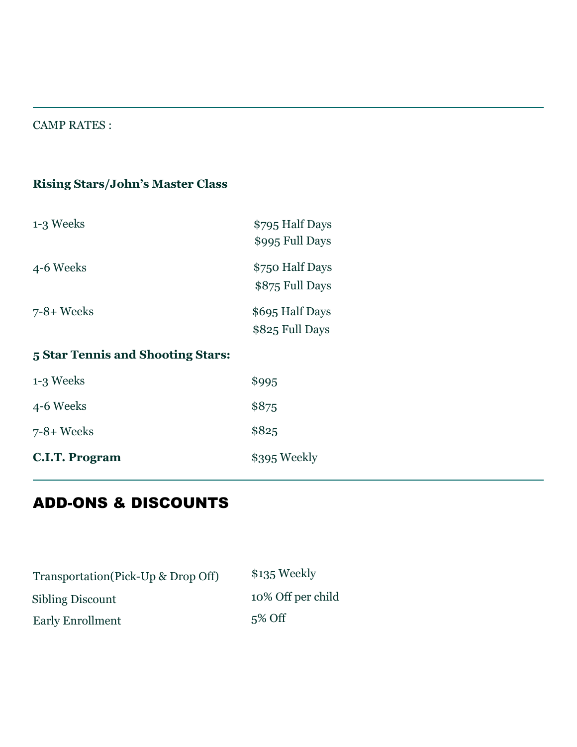#### CAMP RATES :

## **Rising Stars/John's Master Class**

| 1-3 Weeks                         | \$795 Half Days<br>\$995 Full Days        |
|-----------------------------------|-------------------------------------------|
| 4-6 Weeks                         | \$750 Half Days<br>\$875 Full Days        |
| $7-8+$ Weeks                      | \$695 Half Days<br>$\Box$ \$825 Full Days |
| 5 Star Tennis and Shooting Stars: |                                           |
| 1-3 Weeks                         | $O$ \$995                                 |
| 4-6 Weeks                         | $O$ \$875                                 |
| $7-8+$ Weeks                      | $\bigcap$ \$825                           |

| <b>C.I.T. Program</b> | $\circ$ \$395 Weekly |
|-----------------------|----------------------|

## ADD-ONS & DISCOUNTS

| $\circ$ \$135 Weekly             |
|----------------------------------|
| $\overline{O}$ 10% Off per child |
| $\Omega$ 5% Off                  |
|                                  |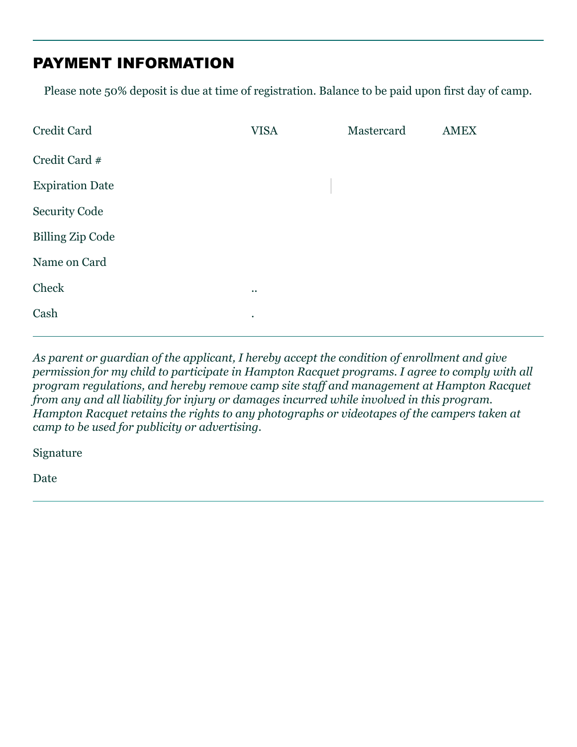## PAYMENT INFORMATION

Please note 50% deposit is due at time of registration. Balance to be paid upon first day of camp.

| Credit Card             | <b>VISA</b> | Mastercard | <b>AMEX</b> |
|-------------------------|-------------|------------|-------------|
| Credit Card #           |             |            |             |
| <b>Expiration Date</b>  |             |            |             |
| <b>Security Code</b>    |             |            |             |
| <b>Billing Zip Code</b> |             |            |             |
| Name on Card            |             |            |             |
| Check                   | $\bigcirc$  |            |             |
| Cash                    | $\circ$ .   |            |             |
|                         |             |            |             |

*As parent or guardian of the applicant, I hereby accept the condition of enrollment and give permission for my child to participate in Hampton Racquet programs. I agree to comply with all program regulations, and hereby remove camp site staff and management at Hampton Racquet from any and all liability for injury or damages incurred while involved in this program. Hampton Racquet retains the rights to any photographs or videotapes of the campers taken at camp to be used for publicity or advertising.* 

Signature

Date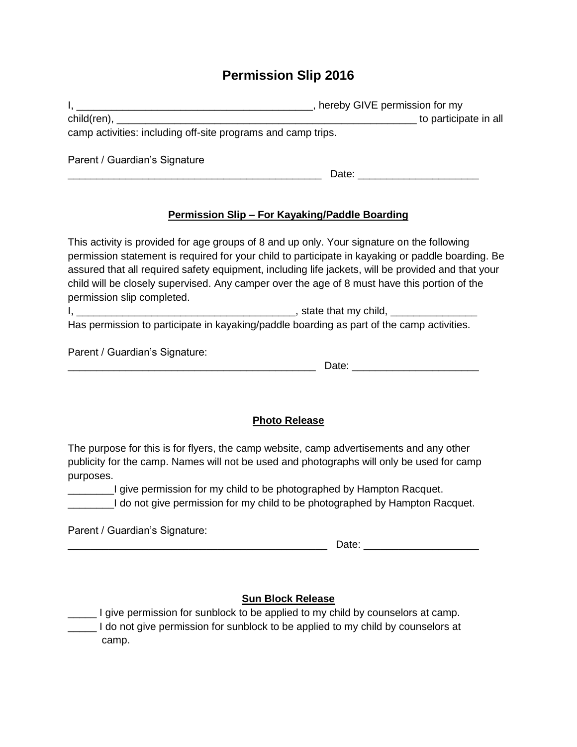### **Permission Slip 2016**

| hereby GIVE permission for my |  |
|-------------------------------|--|
| to participate in all         |  |
|                               |  |
|                               |  |
|                               |  |
|                               |  |
|                               |  |

#### **Permission Slip – For Kayaking/Paddle Boarding**

This activity is provided for age groups of 8 and up only. Your signature on the following permission statement is required for your child to participate in kayaking or paddle boarding. Be assured that all required safety equipment, including life jackets, will be provided and that your child will be closely supervised. Any camper over the age of 8 must have this portion of the permission slip completed.

I, \_\_\_\_\_\_\_\_\_\_\_\_\_\_\_\_\_\_\_\_\_\_\_\_\_\_\_\_\_\_\_\_\_\_\_\_\_\_, state that my child, \_\_\_\_\_\_\_\_\_\_\_\_\_\_\_ Has permission to participate in kayaking/paddle boarding as part of the camp activities.

Parent / Guardian's Signature:

#### **Photo Release**

The purpose for this is for flyers, the camp website, camp advertisements and any other publicity for the camp. Names will not be used and photographs will only be used for camp purposes.

I give permission for my child to be photographed by Hampton Racquet. \_\_\_\_\_\_\_\_I do not give permission for my child to be photographed by Hampton Racquet.

Parent / Guardian's Signature:

 $\blacksquare$  Date:  $\blacksquare$ 

#### **Sun Block Release**

I give permission for sunblock to be applied to my child by counselors at camp. Letting 1 do not give permission for sunblock to be applied to my child by counselors at camp.